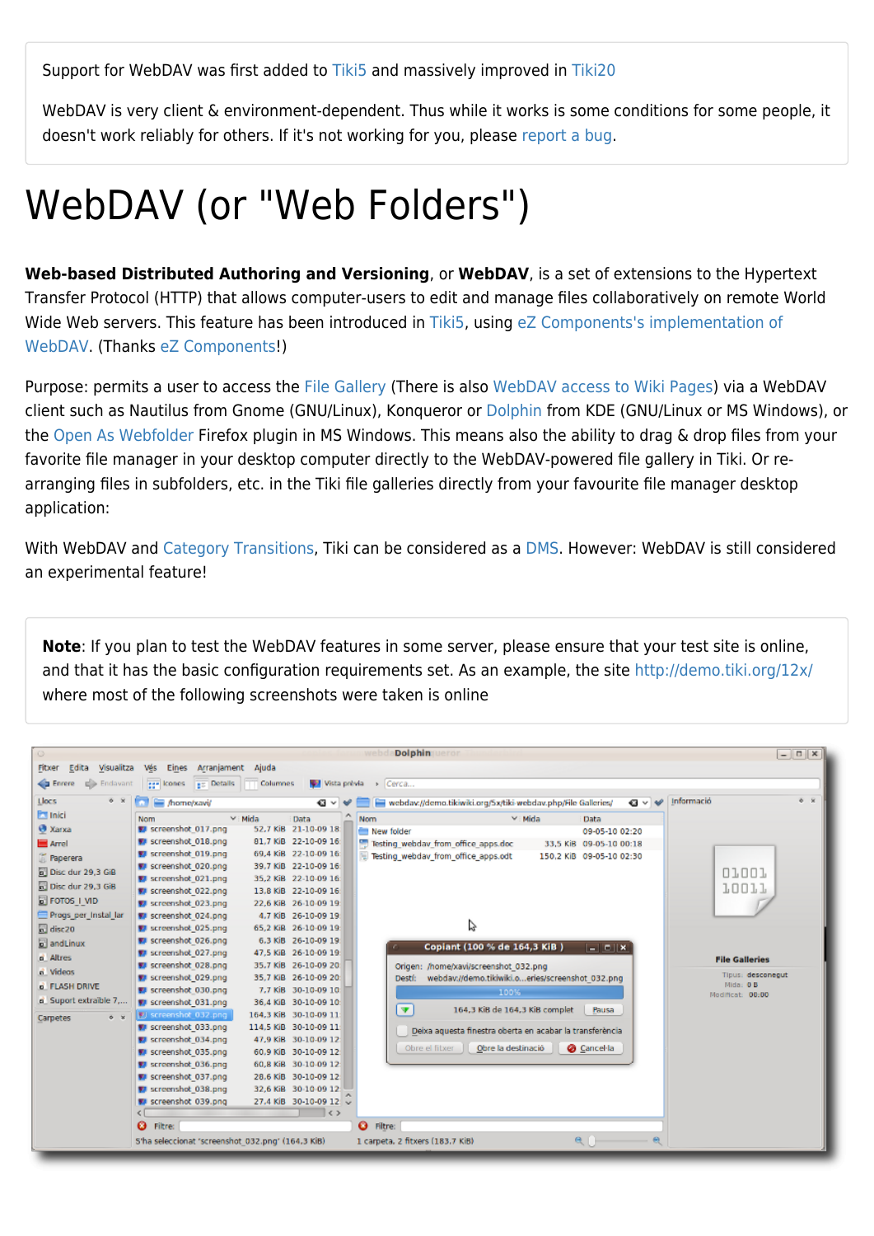Support for WebDAV was first added to [Tiki5](https://doc.tiki.org/Tiki5) and massively improved in [Tiki20](https://doc.tiki.org/Tiki20)

WebDAV is very client & environment-dependent. Thus while it works is some conditions for some people, it doesn't work reliably for others. If it's not working for you, please [report a bug](http://dev.tiki.org/report%20a%20bug).

# WebDAV (or "Web Folders")

**Web-based Distributed Authoring and Versioning**, or **WebDAV**, is a set of extensions to the Hypertext Transfer Protocol (HTTP) that allows computer-users to edit and manage files collaboratively on remote World Wide Web servers. This feature has been introduced in [Tiki5,](https://doc.tiki.org/Tiki5) using [eZ Components's implementation of](http://ezcomponents.org/docs/api/latest/introduction_Webdav.html) [WebDAV](http://ezcomponents.org/docs/api/latest/introduction_Webdav.html). (Thanks [eZ Components!](http://ezcomponents.org/))

Purpose: permits a user to access the [File Gallery](https://doc.tiki.org/File-Gallery) (There is also [WebDAV access to Wiki Pages\)](https://doc.tiki.org/WebDAV-access-to-Wiki-Pages) via a WebDAV client such as Nautilus from Gnome (GNU/Linux), Konqueror or [Dolphin](http://dolphin.kde.org/) from KDE (GNU/Linux or MS Windows), or the [Open As Webfolder](https://addons.mozilla.org/en-US/firefox/addon/540) Firefox plugin in MS Windows. This means also the ability to drag & drop files from your favorite file manager in your desktop computer directly to the WebDAV-powered file gallery in Tiki. Or rearranging files in subfolders, etc. in the Tiki file galleries directly from your favourite file manager desktop application:

With WebDAV and [Category Transitions,](https://doc.tiki.org/Category-Transitions) Tiki can be considered as a [DMS.](http://en.wikipedia.org/wiki/Document_management_system) However: WebDAV is still considered an experimental feature!

**Note**: If you plan to test the WebDAV features in some server, please ensure that your test site is online, and that it has the basic configuration requirements set. As an example, the site <http://demo.tiki.org/12x/> where most of the following screenshots were taken is online

| $\circ$<br>Edita Visualitza<br>Fitxer                                                                                                                                                                                                                                     | Vés<br>Eines Arranjament Ajuda                                                                                                                                                                                                                                                                                                                                                                                                                                                                                                                                                                              |                 |                                                                                                                                                                                                                                                                                                                                                                                                                                                                                                                                                                                                             | wel                            |                                 | <b>Dolphin Leror</b>                                                                                                                                                                                                                                                                                                             |                                         |                                |                                                                                                                                   |            |            | $ \Box$ $x$                                                                                         |         |
|---------------------------------------------------------------------------------------------------------------------------------------------------------------------------------------------------------------------------------------------------------------------------|-------------------------------------------------------------------------------------------------------------------------------------------------------------------------------------------------------------------------------------------------------------------------------------------------------------------------------------------------------------------------------------------------------------------------------------------------------------------------------------------------------------------------------------------------------------------------------------------------------------|-----------------|-------------------------------------------------------------------------------------------------------------------------------------------------------------------------------------------------------------------------------------------------------------------------------------------------------------------------------------------------------------------------------------------------------------------------------------------------------------------------------------------------------------------------------------------------------------------------------------------------------------|--------------------------------|---------------------------------|----------------------------------------------------------------------------------------------------------------------------------------------------------------------------------------------------------------------------------------------------------------------------------------------------------------------------------|-----------------------------------------|--------------------------------|-----------------------------------------------------------------------------------------------------------------------------------|------------|------------|-----------------------------------------------------------------------------------------------------|---------|
| <b>Enrere</b><br>$\Rightarrow$ Endavant                                                                                                                                                                                                                                   | ege kones em Details                                                                                                                                                                                                                                                                                                                                                                                                                                                                                                                                                                                        | <b>Columnes</b> | Vista prèvia > Cerca                                                                                                                                                                                                                                                                                                                                                                                                                                                                                                                                                                                        |                                |                                 |                                                                                                                                                                                                                                                                                                                                  |                                         |                                |                                                                                                                                   |            |            |                                                                                                     |         |
| Llocs<br>$6 - 2$                                                                                                                                                                                                                                                          | home/xavi/                                                                                                                                                                                                                                                                                                                                                                                                                                                                                                                                                                                                  |                 | $\mathbf{G} \vee \mathbf{W}$                                                                                                                                                                                                                                                                                                                                                                                                                                                                                                                                                                                |                                |                                 | webdav://demo.tikiwiki.org/5x/tiki-webdav.php/File Galleries/                                                                                                                                                                                                                                                                    |                                         |                                |                                                                                                                                   | $a \vee e$ | Informació |                                                                                                     | $6 - x$ |
| <b>Extension</b><br><b>O</b> Xarxa<br>Arrel<br><b>In Paperera</b><br>Disc dur 29,3 GiB<br>Disc dur 29,3 GiB<br>FOTOS I VID<br>Progs per Instal lar<br>$\Box$ disc20<br>and Linux<br>a Altres<br>a Videos<br>d FLASH DRIVE<br>a Suport extraible 7,<br>$6 - x$<br>Carpetes | Nom<br>Screenshot 017.png<br>Screenshot 018.png<br>Screenshot 019.png<br>Screenshot 020.png<br>screenshot 021.png<br>Screenshot 022.png<br>Screenshot 023.png<br>Screenshot 024.png<br>Screenshot 025.pnq<br>Screenshot 026.png<br>Screenshot 027.png<br>Screenshot 028.png<br>Screenshot 029.png<br>screenshot 030.png<br>Screenshot 031.png<br>图 screenshot 032.png<br>## screenshot 033.png<br>screenshot 034.png<br>Screenshot 035.png<br>Screenshot 036.png<br>screenshot 037.png<br>Screenshot 038.png<br>Screenshot 039.png<br><b>O</b> Filtre:<br>S'ha seleccionat 'screenshot 032.png' (164,3 KiB) | $\vee$ : Mida   | Data<br>52.7 KiB 21-10-09 18:<br>81.7 KiB 22-10-09 16:<br>69.4 KiB 22-10-09 16:<br>39.7 KiB 22-10-09 16:<br>35.2 KiB 22-10-09 16:<br>13.8 KiB 22-10-09 16<br>22.6 KiB 26-10-09 19<br>4.7 KiB 26-10-09 19<br>65.2 KiB 26-10-09 19:<br>6.3 KiB 26-10-09 19<br>47,5 KiB 26-10-09 19:<br>35.7 KiB 26-10-09 20:<br>35,7 KiB 26-10-09 20:<br>7.7 KiB 30-10-09 10<br>36.4 KiB 30-10-09 10:<br>164,3 KiB 30-10-09 11<br>114.5 KiB 30-10-09 11:<br>47,9 KiB 30-10-09 12<br>60.9 KiB 30-10-09 12:<br>60,8 KiB 30-10-09 12<br>28.6 KiB 30-10-09 12<br>32,6 KiB 30-10-09 12:<br>27.4 KiB 30-10-09 12<br>$\parallel$ < > | <b>Nom</b><br><b>O</b> Filtre: | New folder<br>$\overline{\Psi}$ | Testing webday from office apps.doc<br>Testing webday from office apps.odt<br>Copiant (100 % de 164,3 KiB)<br>Origen: /home/xavi/screenshot 032.png<br>Destf: webdav://demo.tikiwiki.oeries/screenshot 032.png<br>Deixa aquesta finestra oberta en acabar la transferència<br>Obre el fitxer<br>1 carpeta, 2 fitxers (183.7 KiB) | $v:$ Mida<br>100%<br>Obre la destinació | 164,3 KiB de 164,3 KiB complet | Data<br>09-05-10 02:20<br>33.5 KiB 09-05-10 00:18<br>150,2 KiB 09-05-10 02:30<br>$ - 0  x $<br>Pausa<br>Cancel·la<br>$\mathbf{a}$ |            |            | 01001<br><b>10011</b><br><b>File Galleries</b><br>Tipus: desconegut<br>Mida: 0B<br>Modificat: 00:00 |         |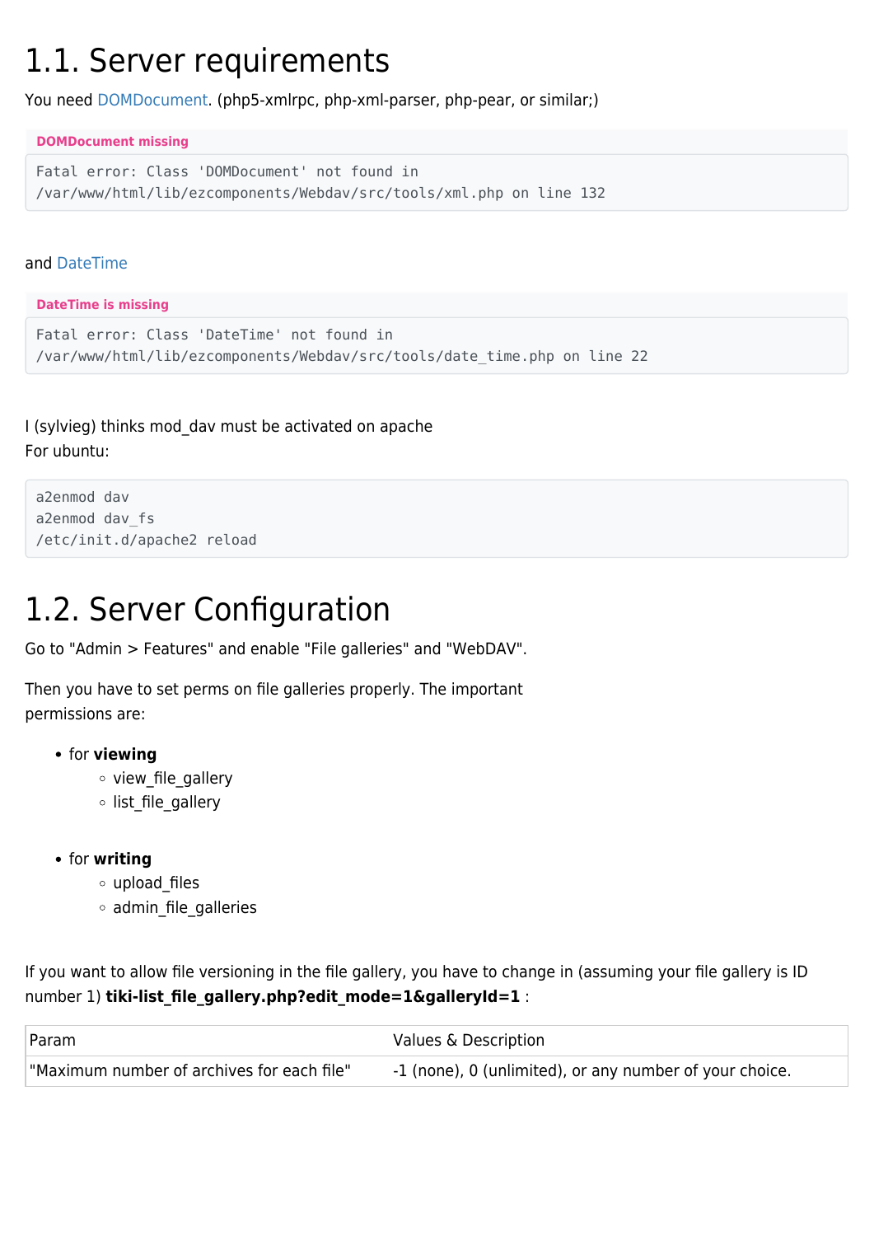## 1.1. Server requirements

You need [DOMDocument.](http://php.net/manual/en/class.domdocument.php) (php5-xmlrpc, php-xml-parser, php-pear, or similar;)

**DOMDocument missing**

```
Fatal error: Class 'DOMDocument' not found in
/var/www/html/lib/ezcomponents/Webdav/src/tools/xml.php on line 132
```
#### and [DateTime](http://www.php.net/manual/en/datetime.installation.php)

#### **DateTime is missing**

```
Fatal error: Class 'DateTime' not found in
/var/www/html/lib/ezcomponents/Webdav/src/tools/date_time.php on line 22
```
I (sylvieg) thinks mod\_dav must be activated on apache For ubuntu:

```
a2enmod dav
a2enmod dav_fs
/etc/init.d/apache2 reload
```
## 1.2. Server Configuration

Go to "Admin > Features" and enable "File galleries" and "WebDAV".

Then you have to set perms on file galleries properly. The important permissions are:

- **•** for **viewing** 
	- view file gallery
	- o list\_file\_gallery
- **•** for **writing** 
	- upload\_files
	- o admin file galleries

If you want to allow file versioning in the file gallery, you have to change in (assuming your file gallery is ID number 1) **tiki-list file gallery.php?edit mode=1&galleryId=1** :

| Param                                      | Values & Description                                    |
|--------------------------------------------|---------------------------------------------------------|
| "Maximum number of archives for each file" | -1 (none), 0 (unlimited), or any number of your choice. |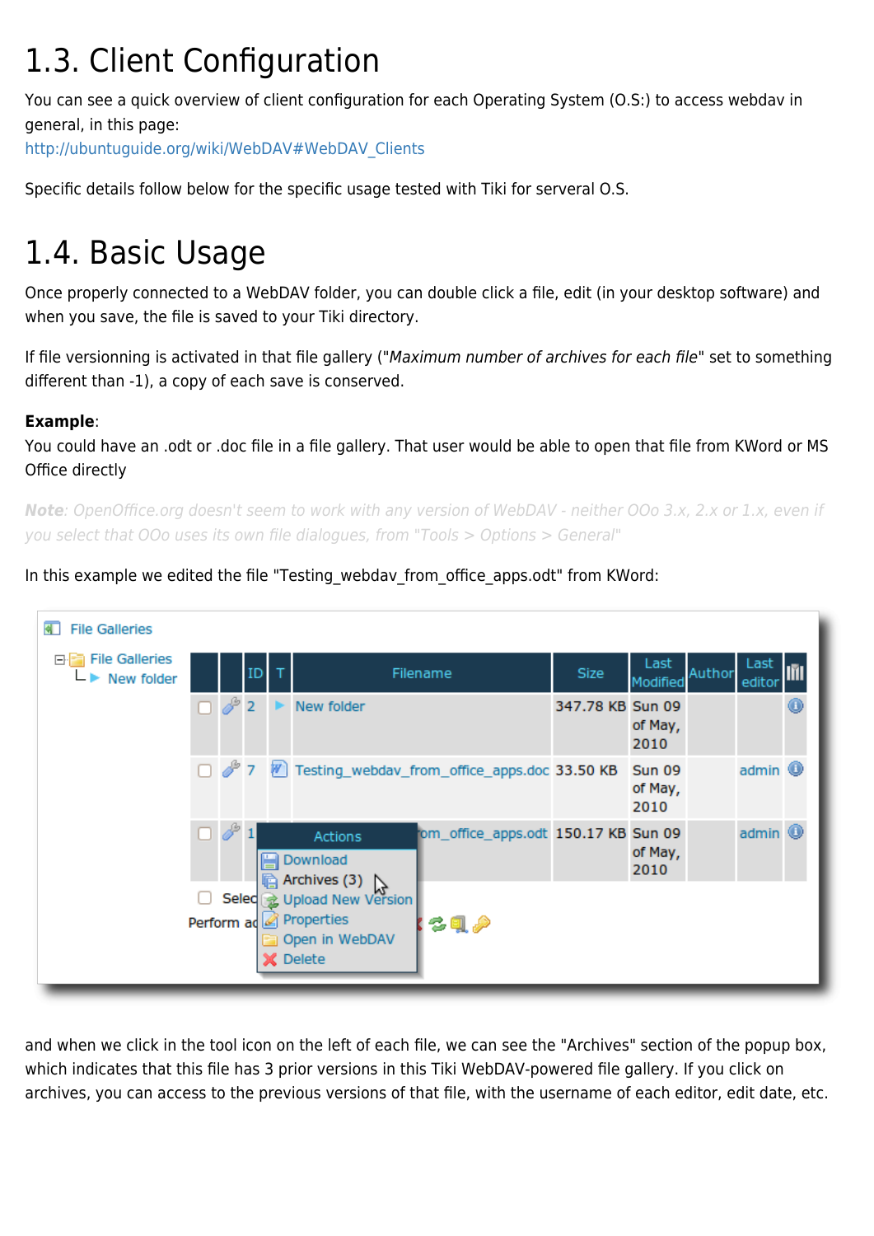## 1.3. Client Configuration

You can see a quick overview of client configuration for each Operating System (O.S:) to access webdav in general, in this page:

[http://ubuntuguide.org/wiki/WebDAV#WebDAV\\_Clients](http://ubuntuguide.org/wiki/WebDAV#WebDAV_Clients)

Specific details follow below for the specific usage tested with Tiki for serveral O.S.

## 1.4. Basic Usage

Once properly connected to a WebDAV folder, you can double click a file, edit (in your desktop software) and when you save, the file is saved to your Tiki directory.

If file versionning is activated in that file gallery ("Maximum number of archives for each file" set to something different than -1), a copy of each save is conserved.

#### **Example**:

You could have an .odt or .doc file in a file gallery. That user would be able to open that file from KWord or MS Office directly

*Note*: OpenOffice.org doesn't seem to work with any version of WebDAV - neither OOo 3.x, 2.x or 1.x, even if you select that OOo uses its own file dialogues, from "Tools > Options > General"

In this example we edited the file "Testing\_webdav\_from\_office\_apps.odt" from KWord:

| <b>File Galleries</b>                                           |                                                                                                              |                  |                                                        |  |
|-----------------------------------------------------------------|--------------------------------------------------------------------------------------------------------------|------------------|--------------------------------------------------------|--|
| <b>File Galleries</b><br>Θŀ<br>$\blacktriangleright$ New folder | ID T<br>Filename                                                                                             | Size             | Last<br>Last<br>Author<br>editor<br>Modified           |  |
|                                                                 | $\Box$ $\mathscr{E}$ 2<br>New folder                                                                         | 347.78 KB Sun 09 | of May,<br>2010                                        |  |
|                                                                 | 7 7 7 Testing_webdav_from_office_apps.doc 33.50 KB                                                           |                  | admin <sup>1</sup><br><b>Sun 09</b><br>of May,<br>2010 |  |
|                                                                 | $\Box \circ 1$<br>om_office_apps.odt 150.17 KB<br>Actions<br>Download                                        |                  | $admin$ $•$<br><b>Sun 09</b><br>of May,<br>2010        |  |
|                                                                 | he Archives (3)<br>Selec & Upload New Version<br>Perform ad Properties<br>る風 夕<br>Open in WebDAV<br>X Delete |                  |                                                        |  |

and when we click in the tool icon on the left of each file, we can see the "Archives" section of the popup box, which indicates that this file has 3 prior versions in this Tiki WebDAV-powered file gallery. If you click on archives, you can access to the previous versions of that file, with the username of each editor, edit date, etc.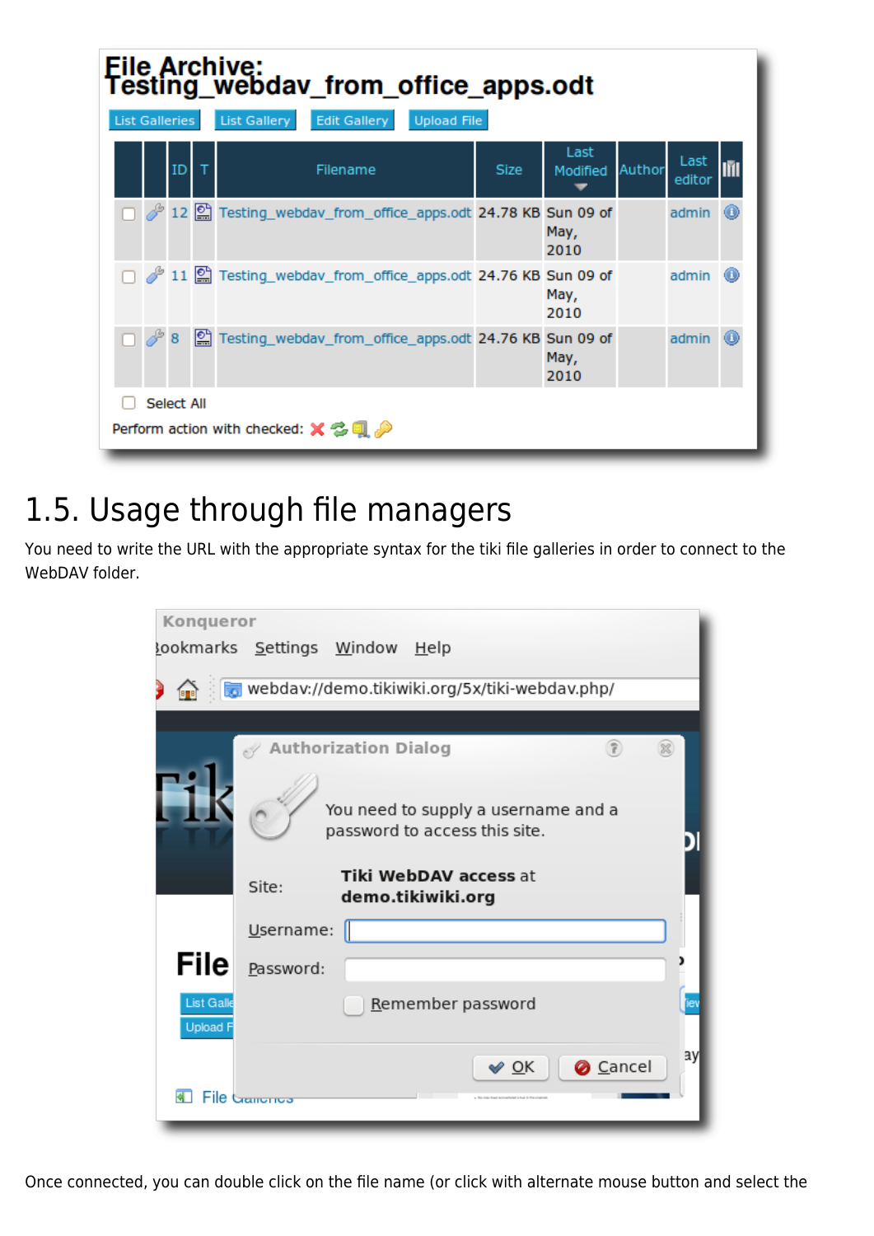| File Archive:<br>Testing_webdav_from_office_apps.odt<br>List Gallery<br><b>Edit Gallery</b><br><b>Upload File</b><br><b>List Galleries</b> |                                                                                  |          |     |                                                                           |             |                  |        |                   |   |
|--------------------------------------------------------------------------------------------------------------------------------------------|----------------------------------------------------------------------------------|----------|-----|---------------------------------------------------------------------------|-------------|------------------|--------|-------------------|---|
|                                                                                                                                            |                                                                                  | $ID$ $T$ |     | Filename                                                                  | <b>Size</b> | Last<br>Modified | Author | Last<br>editor    |   |
|                                                                                                                                            |                                                                                  |          |     | Testing_webdav_from_office_apps.odt 24.78 KB Sun 09 of                    |             | May,<br>2010     |        | admin (D          |   |
|                                                                                                                                            |                                                                                  |          |     | 11 <sup>2</sup> 11 Testing_webdav_from_office_apps.odt 24.76 KB Sun 09 of |             | May,<br>2010     |        | $admin$ $\bullet$ |   |
|                                                                                                                                            |                                                                                  | 8        | ١≌ا | Testing_webdav_from_office_apps.odt 24.76 KB Sun 09 of                    |             | May,<br>2010     |        | admin             | G |
|                                                                                                                                            | <b>Select All</b><br>Perform action with checked: $\times \mathbb{G} \mathbb{Q}$ |          |     |                                                                           |             |                  |        |                   |   |

## 1.5. Usage through file managers

You need to write the URL with the appropriate syntax for the tiki file galleries in order to connect to the WebDAV folder.



Once connected, you can double click on the file name (or click with alternate mouse button and select the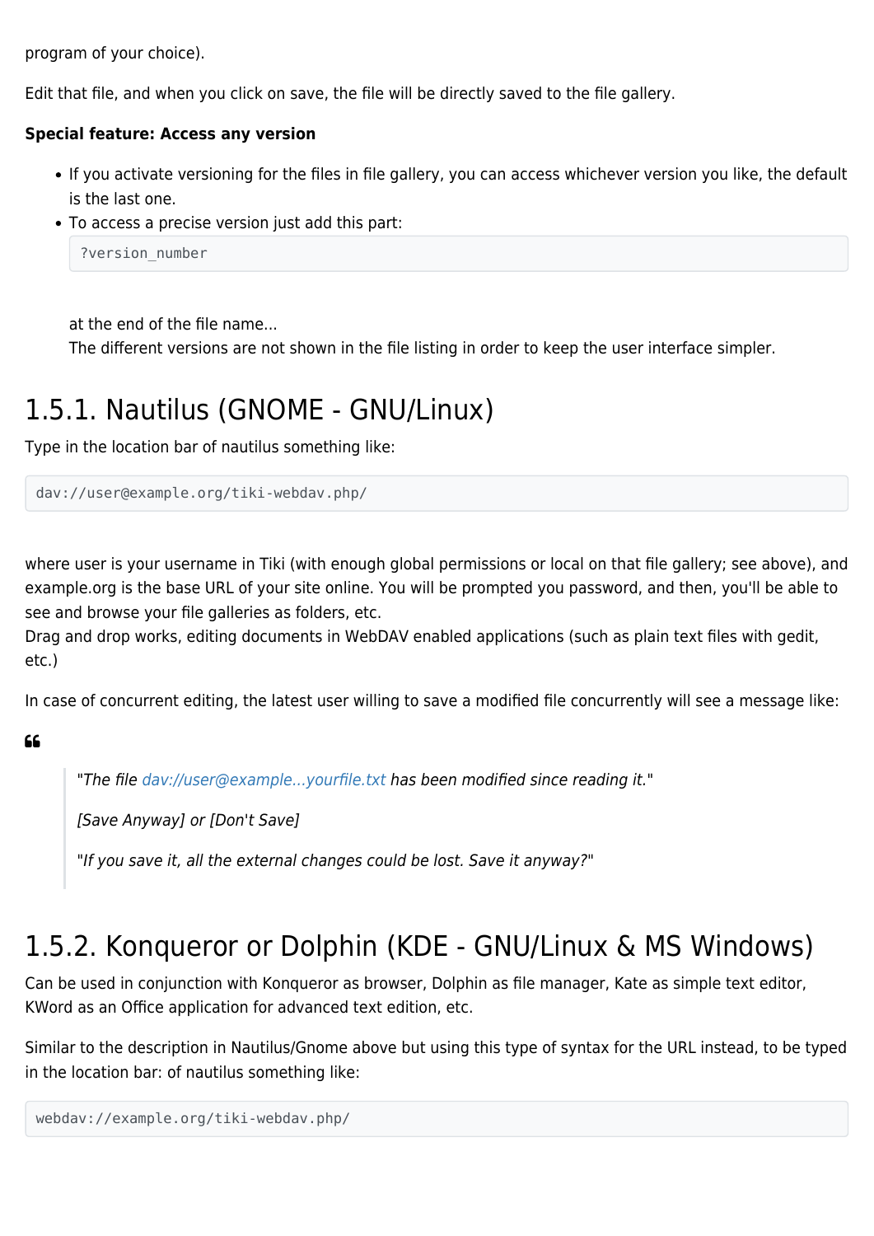program of your choice).

Edit that file, and when you click on save, the file will be directly saved to the file gallery.

#### **Special feature: Access any version**

- If you activate versioning for the files in file gallery, you can access whichever version you like, the default is the last one.
- To access a precise version just add this part:

```
?version number
```
at the end of the file name...

The different versions are not shown in the file listing in order to keep the user interface simpler.

### 1.5.1. Nautilus (GNOME - GNU/Linux)

Type in the location bar of nautilus something like:

```
dav://user@example.org/tiki-webdav.php/
```
where user is your username in Tiki (with enough global permissions or local on that file gallery; see above), and example.org is the base URL of your site online. You will be prompted you password, and then, you'll be able to see and browse your file galleries as folders, etc.

Drag and drop works, editing documents in WebDAV enabled applications (such as plain text files with gedit, etc.)

In case of concurrent editing, the latest user willing to save a modified file concurrently will see a message like:

#### 66

"The file <dav://user@example...yourfile.txt>has been modified since reading it."

[Save Anyway] or [Don't Save]

"If you save it, all the external changes could be lost. Save it anyway?"

### 1.5.2. Konqueror or Dolphin (KDE - GNU/Linux & MS Windows)

Can be used in conjunction with Konqueror as browser, Dolphin as file manager, Kate as simple text editor, KWord as an Office application for advanced text edition, etc.

Similar to the description in Nautilus/Gnome above but using this type of syntax for the URL instead, to be typed in the location bar: of nautilus something like:

```
webdav://example.org/tiki-webdav.php/
```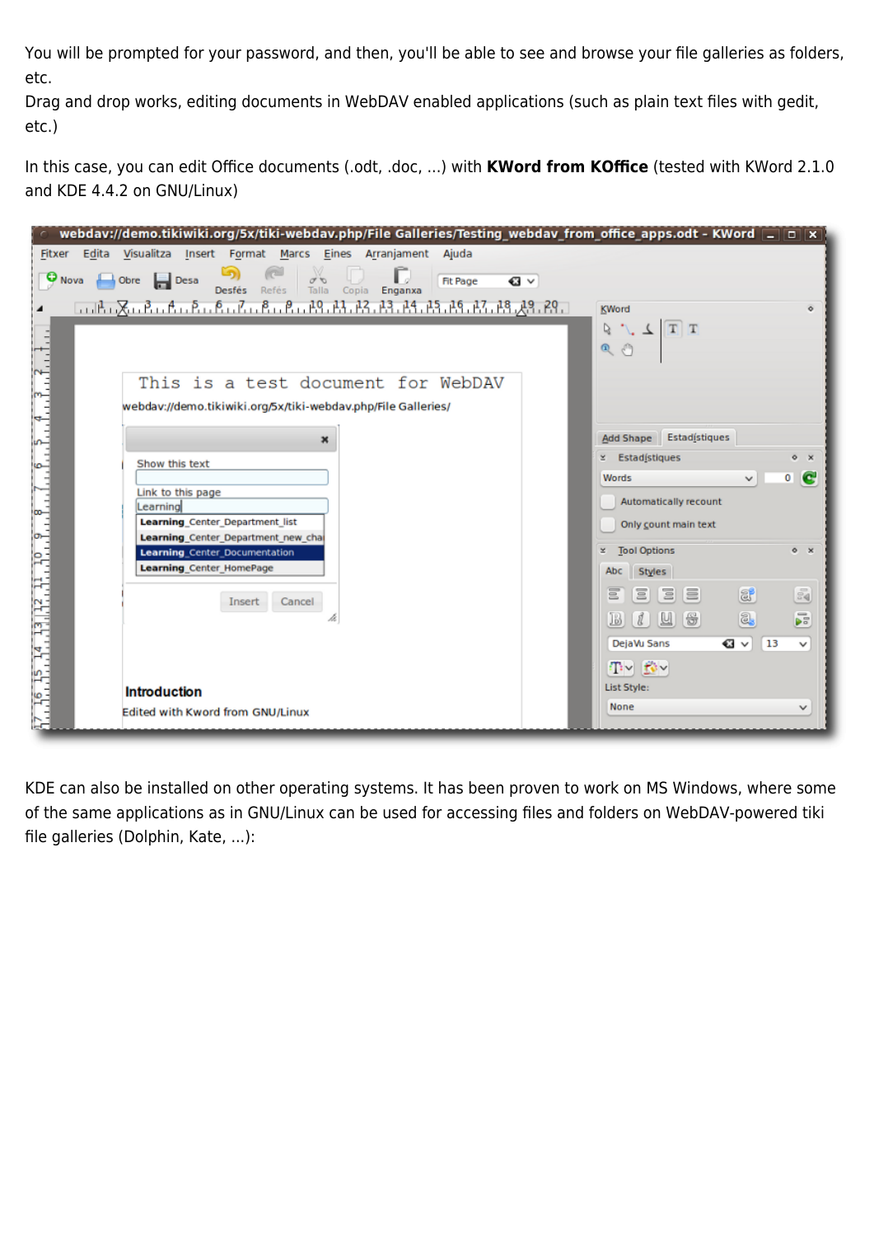You will be prompted for your password, and then, you'll be able to see and browse your file galleries as folders, etc.

Drag and drop works, editing documents in WebDAV enabled applications (such as plain text files with gedit, etc.)

In this case, you can edit Office documents (.odt, .doc, ...) with **KWord from KOffice** (tested with KWord 2.1.0 and KDE 4.4.2 on GNU/Linux)

| webdav://demo.tikiwiki.org/5x/tiki-webdav.php/File Galleries/Testing_webdav_from_office_apps.odt - KWord $\equiv$ $\equiv$ $\times$                 |                                                       |
|-----------------------------------------------------------------------------------------------------------------------------------------------------|-------------------------------------------------------|
| Visualitza Insert Format<br>Marcs Eines Arranjament<br>Ajuda<br>Fitxer<br>Edita                                                                     |                                                       |
| Г,<br>$\sqrt{\frac{1}{2}}$<br>$\Theta$ Nova<br>Obre <b>B</b> Desa<br><b>Fit Page</b><br>€∃ ∨<br><b>Desfés</b><br>Talla<br>Refés<br>Enganxa<br>Copia |                                                       |
|                                                                                                                                                     | <b>KWord</b><br>$\circ$                               |
|                                                                                                                                                     | $T[T]$ $\perp$ $\int$ 5                               |
|                                                                                                                                                     | $\mathfrak{D}$ $\mathfrak{D}$                         |
| This is a test document for WebDAV                                                                                                                  |                                                       |
| $\frac{1}{2}$<br>webdav://demo.tikiwiki.org/5x/tiki-webdav.php/File Galleries/                                                                      |                                                       |
| $\mathbf x$                                                                                                                                         | Estadístiques<br><b>Add Shape</b>                     |
| Show this text                                                                                                                                      | <b>Estadístiques</b><br>×.<br>$\circ$ $\times$        |
|                                                                                                                                                     | C<br>$\overline{0}$<br><b>Words</b><br>$\checkmark$   |
| Link to this page<br>Learning                                                                                                                       | Automatically recount                                 |
| <b>Learning Center Department list</b>                                                                                                              | Only count main text                                  |
| Learning Center Department new cha<br><b>Learning</b> Center Documentation                                                                          | <b>Tool Options</b><br>×<br>$\circ$ $\times$          |
| <b>Learning Center HomePage</b>                                                                                                                     | Styles<br>Abc                                         |
|                                                                                                                                                     |                                                       |
| Cancel<br>Insert                                                                                                                                    | E<br>$\frac{5}{20}$<br>$\Xi$<br>E<br>8<br>Ξ           |
|                                                                                                                                                     | $\overline{\mathbf{r}}$<br>Q,<br>u<br>đ.<br>[46<br>13 |
|                                                                                                                                                     | € √<br>DejaVu Sans<br>$\vert$ 13<br>v                 |
|                                                                                                                                                     | $T \vee T' \vee$                                      |
| <b>Introduction</b>                                                                                                                                 | List Style:                                           |
| 87. 38. 35. 34. 33. 33. 33. 39. 3. 8. . 7. .<br>Edited with Kword from GNU/Linux                                                                    | None<br>v                                             |
|                                                                                                                                                     |                                                       |

KDE can also be installed on other operating systems. It has been proven to work on MS Windows, where some of the same applications as in GNU/Linux can be used for accessing files and folders on WebDAV-powered tiki file galleries (Dolphin, Kate, ...):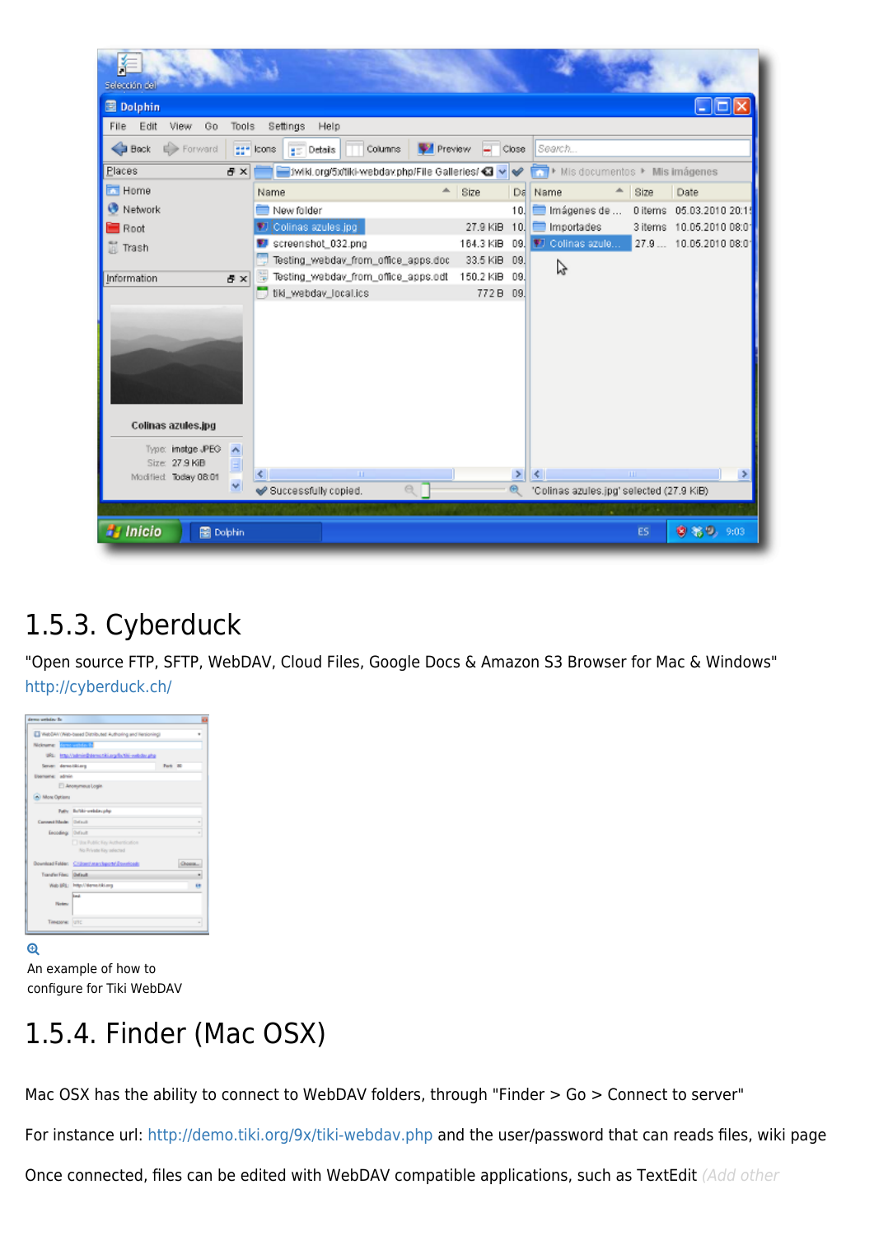

### 1.5.3. Cyberduck

"Open source FTP, SFTP, WebDAV, Cloud Files, Google Docs & Amazon S3 Browser for Mac & Windows" <http://cyberduck.ch/>

| demo uniday la           |                                                         |         |         |
|--------------------------|---------------------------------------------------------|---------|---------|
|                          | WebBAY (Web-based Distributed Authoring and Hersioning) |         |         |
| Nickname: Changes (1979) |                                                         |         |         |
|                          | URL Into Velmin@demonitizing/b/thi-webdaruha            |         |         |
| Server: demolikiung      |                                                         | Park 30 |         |
| banama: abhin            |                                                         |         |         |
|                          | Anonymous Login                                         |         |         |
| A) Mose Options          |                                                         |         |         |
|                          | Path: Bullitz-untday.php                                |         |         |
| Convert Made Drivell     |                                                         |         |         |
| Encoding: Orthult        |                                                         |         |         |
|                          | [1] the Public Key Authordication                       |         |         |
|                          | No Private Key selected                                 |         |         |
|                          | Download Falder: Childen American Equationals           |         | Choose. |
| Transfer Files: Default  |                                                         |         |         |
|                          | Wab BRL: Http://denis.tiki.org                          |         |         |
|                          | limat                                                   |         |         |
| <b>Notes:</b>            |                                                         |         |         |
| Timesone:                | <b>lune</b>                                             |         |         |
|                          |                                                         |         |         |
|                          |                                                         |         |         |

An example of how to configure for Tiki WebDAV

## 1.5.4. Finder (Mac OSX)

Mac OSX has the ability to connect to WebDAV folders, through "Finder > Go > Connect to server"

For instance url: <http://demo.tiki.org/9x/tiki-webdav.php> and the user/password that can reads files, wiki page

Once connected, files can be edited with WebDAV compatible applications, such as TextEdit (Add other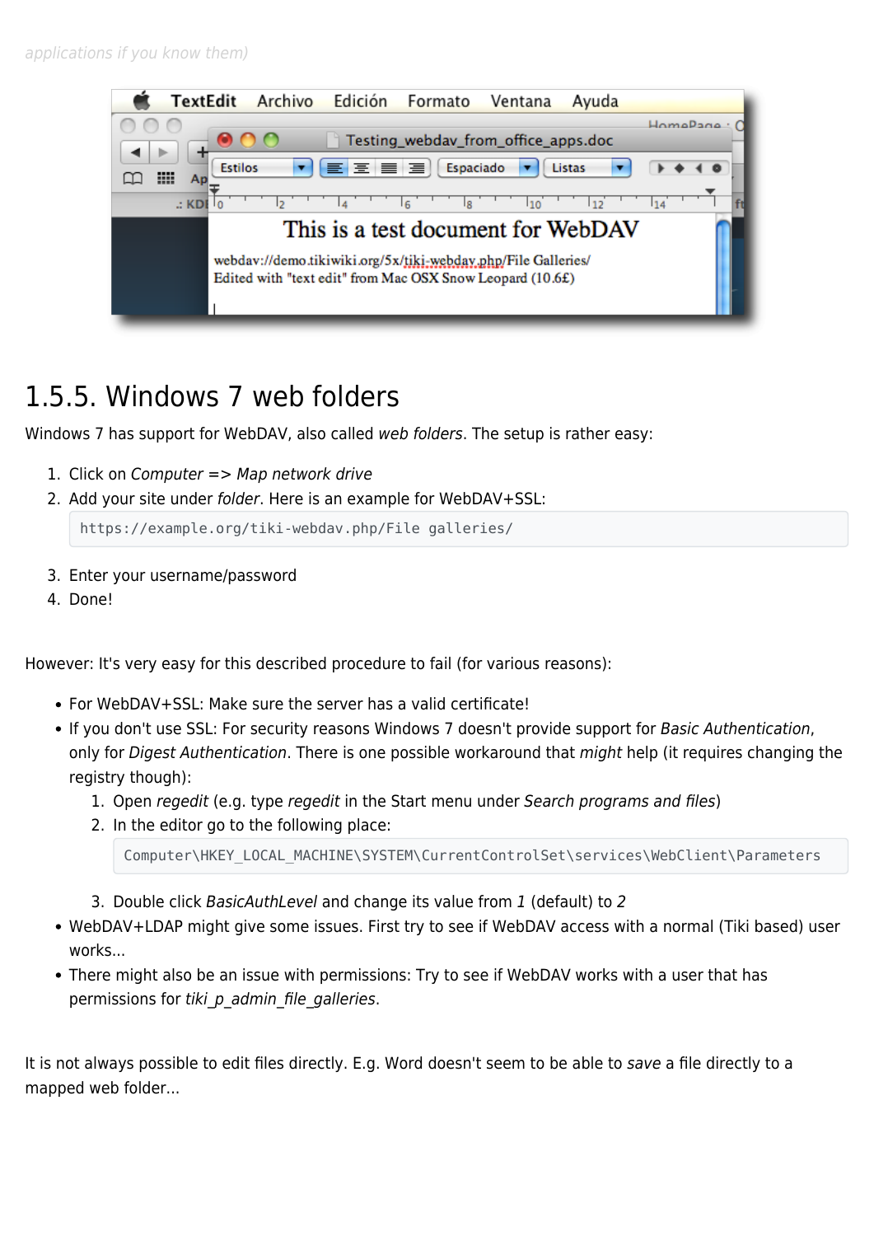

### 1.5.5. Windows 7 web folders

Windows 7 has support for WebDAV, also called web folders. The setup is rather easy:

- 1. Click on Computer => Map network drive
- 2. Add your site under folder. Here is an example for WebDAV+SSL:

https://example.org/tiki-webdav.php/File galleries/

- 3. Enter your username/password
- 4. Done!

However: It's very easy for this described procedure to fail (for various reasons):

- For WebDAV+SSL: Make sure the server has a valid certificate!
- If you don't use SSL: For security reasons Windows 7 doesn't provide support for Basic Authentication, only for Digest Authentication. There is one possible workaround that might help (it requires changing the registry though):
	- 1. Open regedit (e.g. type regedit in the Start menu under Search programs and files)
	- 2. In the editor go to the following place:

Computer\HKEY\_LOCAL\_MACHINE\SYSTEM\CurrentControlSet\services\WebClient\Parameters

- 3. Double click BasicAuthLevel and change its value from 1 (default) to 2
- WebDAV+LDAP might give some issues. First try to see if WebDAV access with a normal (Tiki based) user works...
- There might also be an issue with permissions: Try to see if WebDAV works with a user that has permissions for tiki p admin file galleries.

It is not always possible to edit files directly. E.g. Word doesn't seem to be able to save a file directly to a mapped web folder...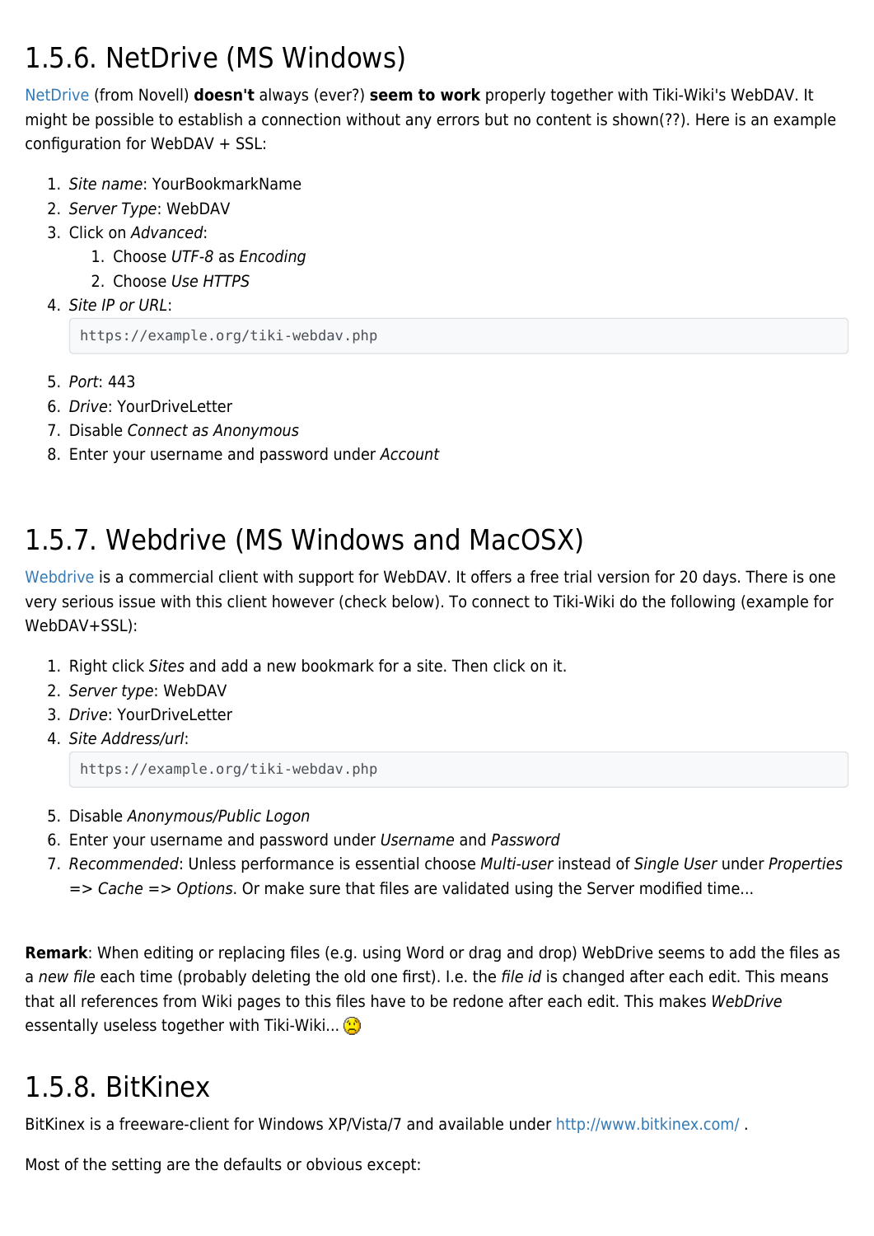### 1.5.6. NetDrive (MS Windows)

[NetDrive](http://www.netdrive.net/download.html/) (from Novell) **doesn't** always (ever?) **seem to work** properly together with Tiki-Wiki's WebDAV. It might be possible to establish a connection without any errors but no content is shown(??). Here is an example configuration for WebDAV + SSL:

- 1. Site name: YourBookmarkName
- 2. Server Type: WebDAV
- 3. Click on Advanced:
	- 1. Choose UTF-8 as Encoding
	- 2. Choose Use HTTPS
- 4. Site IP or URL:

https://example.org/tiki-webdav.php

- 5. Port: 443
- 6. Drive: YourDriveLetter
- 7. Disable Connect as Anonymous
- 8. Enter your username and password under Account

### 1.5.7. Webdrive (MS Windows and MacOSX)

[Webdrive](http://www.webdrive.com/products/webdrive/index.html) is a commercial client with support for WebDAV. It offers a free trial version for 20 days. There is one very serious issue with this client however (check below). To connect to Tiki-Wiki do the following (example for WebDAV+SSL):

- 1. Right click Sites and add a new bookmark for a site. Then click on it.
- 2. Server type: WebDAV
- 3. Drive: YourDriveLetter
- 4. Site Address/url:

https://example.org/tiki-webdav.php

- 5. Disable Anonymous/Public Logon
- 6. Enter your username and password under Username and Password
- 7. Recommended: Unless performance is essential choose Multi-user instead of Single User under Properties => Cache => Options. Or make sure that files are validated using the Server modified time...

**Remark**: When editing or replacing files (e.g. using Word or drag and drop) WebDrive seems to add the files as a new file each time (probably deleting the old one first). I.e. the file id is changed after each edit. This means that all references from Wiki pages to this files have to be redone after each edit. This makes WebDrive essentally useless together with Tiki-Wiki...

### 1.5.8. BitKinex

BitKinex is a freeware-client for Windows XP/Vista/7 and available under <http://www.bitkinex.com/>.

Most of the setting are the defaults or obvious except: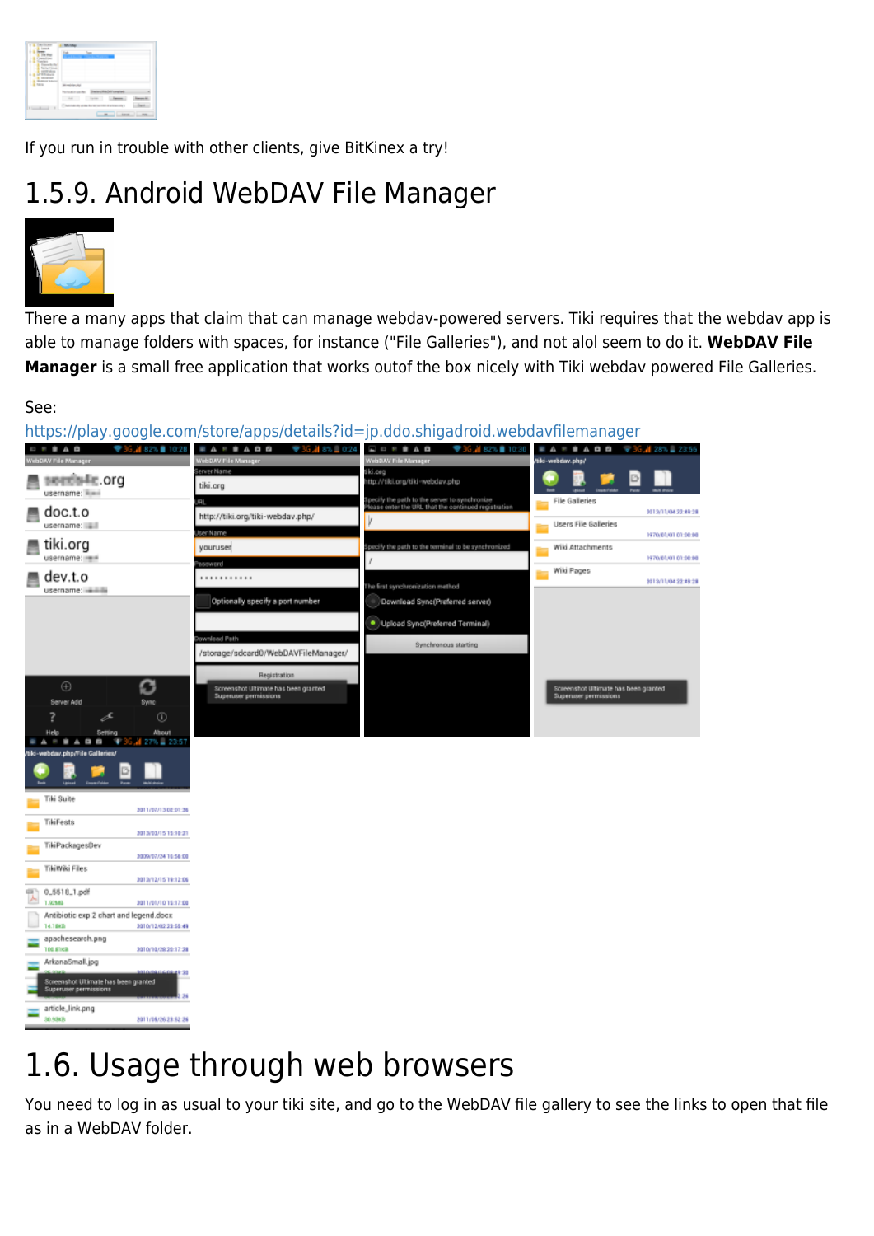| - |  |
|---|--|
|   |  |

If you run in trouble with other clients, give BitKinex a try!

### 1.5.9. Android WebDAV File Manager



There a many apps that claim that can manage webdav-powered servers. Tiki requires that the webdav app is able to manage folders with spaces, for instance ("File Galleries"), and not alol seem to do it. **WebDAV File Manager** is a small free application that works outof the box nicely with Tiki webdav powered File Galleries.

#### See:

TikiFests

TikiPackagesDev

TikiWiki Files

0\_5518\_1.pdf

ArkanaSmall.jpg

article\_link.png

14.1883 apachesearch.png

Antibiotic exp 2 chart and legend.docx

hot Ultimate has be

2013/03/15 15:10:21

2009/07/24 16:56:00

2013/12/15 19:12:06

2011/01/10 15:17:00

3010/12/02 23:55:49

3010/10/20 20:17:28

2011/06/26 23:52:26

en granted

<https://play.google.com/store/apps/details?id=jp.ddo.shigadroid.webdavfilemanager> J# 82% ■ 10:28 **EARBADB**  $\blacktriangledown 36$   $\cancel{18}$   $\approx$   $\bot$  0.24  $\Box$   $\Box$   $\equiv$   $\equiv$   $\hat{\blacksquare}$   $\Delta$   $\Box$ . **. . . M 82% O** 10 sentelle org tiki.org username: **File Galleries** doc.t.o 3013/11/04 22:49:28 http://tiki.org/tiki-webdav.php/ **Users File Galleries** username: 1970/81/01 01:00:00 tiki.org youruser Wiki Attachments username: 1970/81/01 01:00:00 Wiki Pages 量 dev.t.o . . . . . . . . . . . 2013/11/04 22:49:28 he first sw username: addition Optionally specify a port number Download Sync(Preferred server) · Upload Sync(Preferred Terminal) Synchronous startin /storage/sdcard0/WebDAVFileManager/  $\bigoplus$ c nate has been granted has been granted Server Add  $\odot$ 27% 235 Tiki Suite 2011/07/13 02:01:36

## 1.6. Usage through web browsers

You need to log in as usual to your tiki site, and go to the WebDAV file gallery to see the links to open that file as in a WebDAV folder.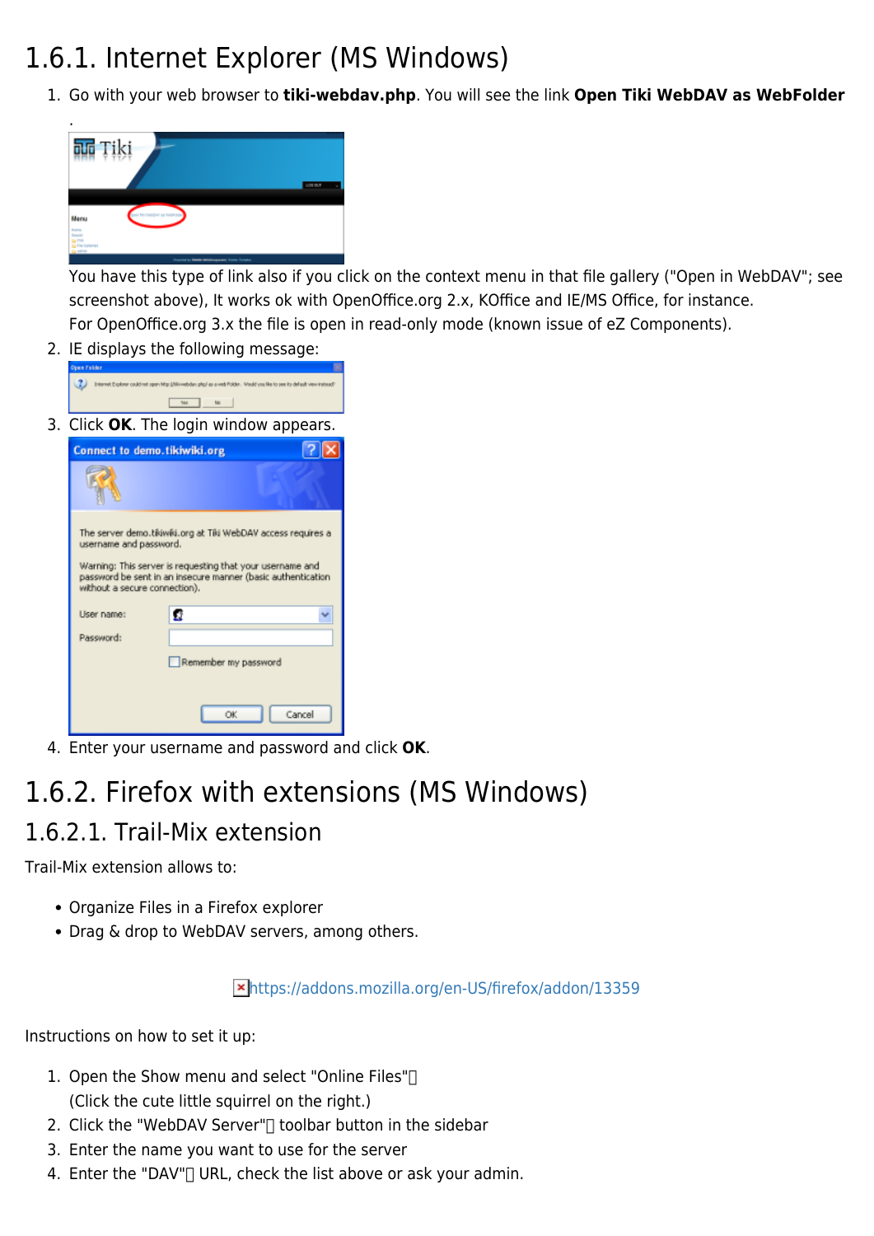## 1.6.1. Internet Explorer (MS Windows)

1. Go with your web browser to **tiki-webdav.php**. You will see the link **Open Tiki WebDAV as WebFolder**



You have this type of link also if you click on the context menu in that file gallery ("Open in WebDAV"; see screenshot above), It works ok with OpenOffice.org 2.x, KOffice and IE/MS Office, for instance. For OpenOffice.org 3.x the file is open in read-only mode (known issue of eZ Components).

2. IE displays the following message:

| Joan Felder                                                                                                                                                                                                                                           |
|-------------------------------------------------------------------------------------------------------------------------------------------------------------------------------------------------------------------------------------------------------|
| Internet Explorer could not open Migr (/bli-redoder, php) as a vest Polder. Weddivon Me to see its default view instead?                                                                                                                              |
| <b>WH</b><br>No.                                                                                                                                                                                                                                      |
| 3. Click OK. The login window appears.                                                                                                                                                                                                                |
| Connect to demo.tikiwiki.org                                                                                                                                                                                                                          |
|                                                                                                                                                                                                                                                       |
| The server demo.tikiwiki.org at Tiki WebDAV access requires a<br>username and password.<br>Warning: This server is requesting that your username and<br>password be sent in an insecure manner (basic authentication<br>without a secure connection). |
| User name:<br>G                                                                                                                                                                                                                                       |
| Password:                                                                                                                                                                                                                                             |
| Remember my password                                                                                                                                                                                                                                  |
|                                                                                                                                                                                                                                                       |
| OK<br>Cancel                                                                                                                                                                                                                                          |

4. Enter your username and password and click **OK**.

### 1.6.2. Firefox with extensions (MS Windows) 1.6.2.1. Trail-Mix extension

Trail-Mix extension allows to:

- Organize Files in a Firefox explorer
- Drag & drop to WebDAV servers, among others.

<https://addons.mozilla.org/en-US/firefox/addon/13359>

Instructions on how to set it up:

- 1. Open the Show menu and select "Online Files"[]
	- (Click the cute little squirrel on the right.)
- 2. Click the "WebDAV Server" $\Box$  toolbar button in the sidebar
- 3. Enter the name you want to use for the server
- 4. Enter the "DAV" URL, check the list above or ask your admin.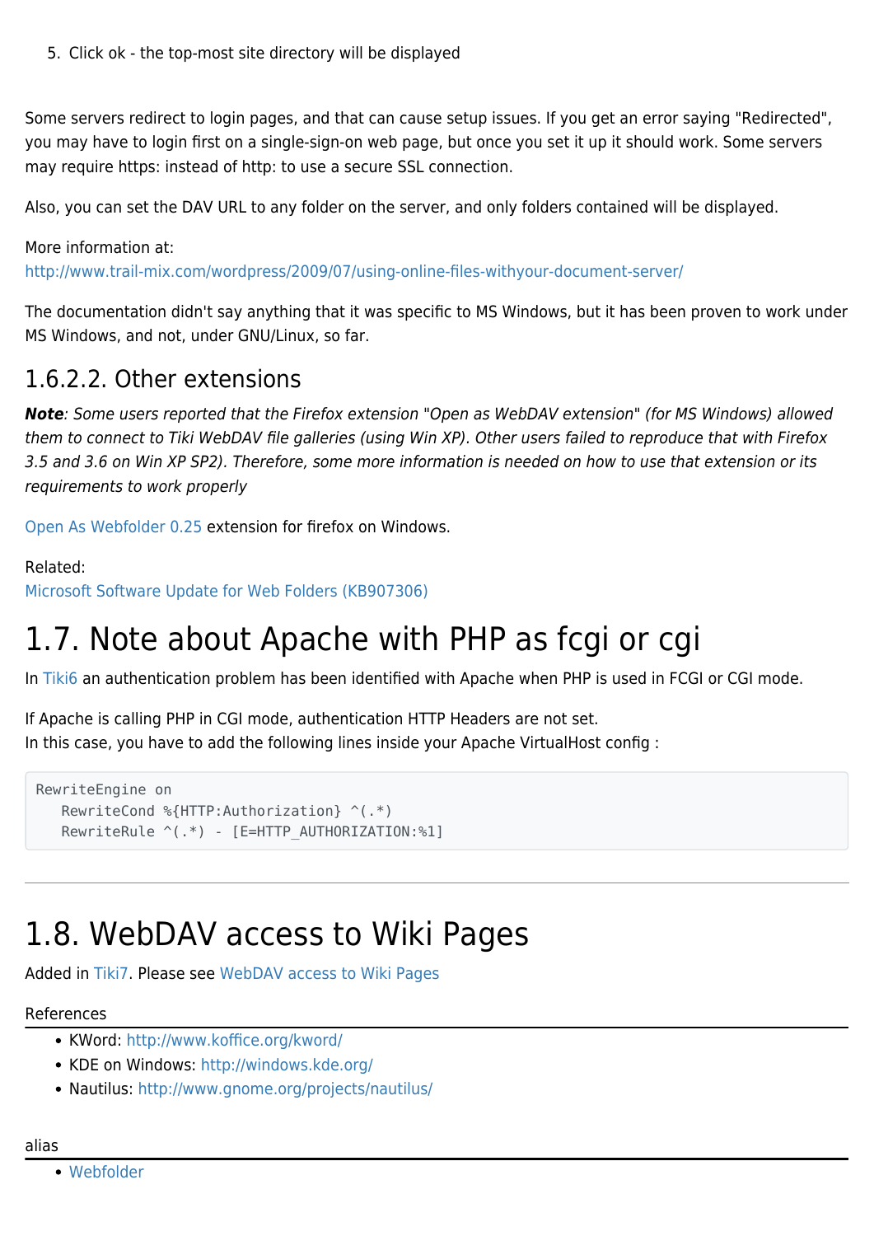5. Click ok - the top-most site directory will be displayed

Some servers redirect to login pages, and that can cause setup issues. If you get an error saying "Redirected", you may have to login first on a single-sign-on web page, but once you set it up it should work. Some servers may require https: instead of http: to use a secure SSL connection.

Also, you can set the DAV URL to any folder on the server, and only folders contained will be displayed.

More information at: <http://www.trail-mix.com/wordpress/2009/07/using-online-files-withyour-document-server/>

The documentation didn't say anything that it was specific to MS Windows, but it has been proven to work under MS Windows, and not, under GNU/Linux, so far.

#### 1.6.2.2. Other extensions

*Note*: Some users reported that the Firefox extension "Open as WebDAV extension" (for MS Windows) allowed them to connect to Tiki WebDAV file galleries (using Win XP). Other users failed to reproduce that with Firefox 3.5 and 3.6 on Win XP SP2). Therefore, some more information is needed on how to use that extension or its requirements to work properly

[Open As Webfolder 0.25](https://addons.mozilla.org/en-US/firefox/addon/540/) extension for firefox on Windows.

Related:

[Microsoft Software Update for Web Folders \(KB907306\)](http://www.microsoft.com/downloads/details.aspx?FamilyId=17C36612-632E-4C04-9382-987622ED1D64&displaylang=en)

## 1.7. Note about Apache with PHP as fcgi or cgi

In [Tiki6](https://doc.tiki.org/Tiki6) an authentication problem has been identified with Apache when PHP is used in FCGI or CGI mode.

If Apache is calling PHP in CGI mode, authentication HTTP Headers are not set. In this case, you have to add the following lines inside your Apache VirtualHost config :

```
RewriteEngine on
    RewriteCond %{HTTP:Authorization} ^(.*)
   RewriteRule ^(.*) - [E=HTTP AUTHORIZATION:%1]
```
## 1.8. WebDAV access to Wiki Pages

Added in [Tiki7.](https://doc.tiki.org/Tiki7) Please see [WebDAV access to Wiki Pages](https://doc.tiki.org/WebDAV-access-to-Wiki-Pages)

#### References

- KWord:<http://www.koffice.org/kword/>
- KDE on Windows: <http://windows.kde.org/>
- Nautilus:<http://www.gnome.org/projects/nautilus/>

[Webfolder](https://doc.tiki.org/Webfolder)